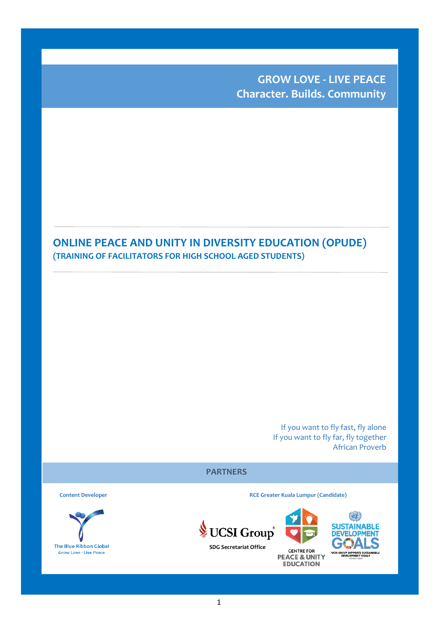**GROW LOVE - LIVE PEACE Character. Builds. Community**

# **ONLINE PEACE AND UNITY IN DIVERSITY EDUCATION (OPUDE) (TRAINING OF FACILITATORS FOR HIGH SCHOOL AGED STUDENTS)**

If you want to fly fast, fly alone If you want to fly far, fly together African Proverb

**PARTNERS**



**Content Developer RCE Greater Kuala Lumpur (Candidate)**





**PEACE & UNITY EDUCATION** 

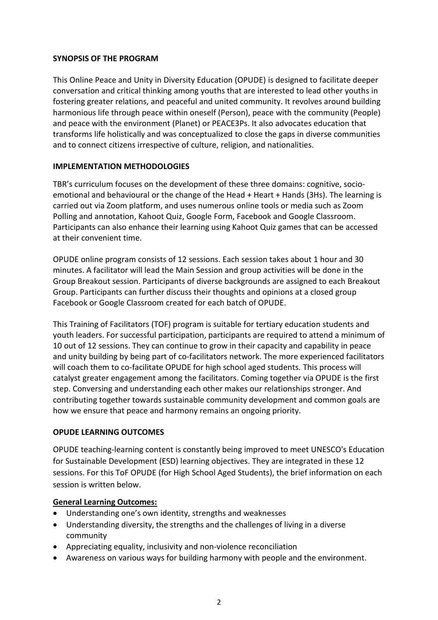## **SYNOPSIS OF THE PROGRAM**

This Online Peace and Unity in Diversity Education (OPUDE) is designed to facilitate deeper conversation and critical thinking among youths that are interested to lead other youths in fostering greater relations, and peaceful and united community. It revolves around building harmonious life through peace within oneself (Person), peace with the community (People) and peace with the environment (Planet) or PEACE3Ps. It also advocates education that transforms life holistically and was conceptualized to close the gaps in diverse communities and to connect citizens irrespective of culture, religion, and nationalities.

# **IMPLEMENTATION METHODOLOGIES**

TBR's curriculum focuses on the development of these three domains: cognitive, socioemotional and behavioural or the change of the Head + Heart + Hands (3Hs). The learning is carried out via Zoom platform, and uses numerous online tools or media such as Zoom Polling and annotation, Kahoot Quiz, Google Form, Facebook and Google Classroom. Participants can also enhance their learning using Kahoot Quiz games that can be accessed at their convenient time.

OPUDE online program consists of 12 sessions. Each session takes about 1 hour and 30 minutes. A facilitator will lead the Main Session and group activities will be done in the Group Breakout session. Participants of diverse backgrounds are assigned to each Breakout Group. Participants can further discuss their thoughts and opinions at a closed group Facebook or Google Classroom created for each batch of OPUDE.

This Training of Facilitators (TOF) program is suitable for tertiary education students and youth leaders. For successful participation, participants are required to attend a minimum of 10 out of 12 sessions. They can continue to grow in their capacity and capability in peace and unity building by being part of co-facilitators network. The more experienced facilitators will coach them to co-facilitate OPUDE for high school aged students. This process will catalyst greater engagement among the facilitators. Coming together via OPUDE is the first step. Conversing and understanding each other makes our relationships stronger. And contributing together towards sustainable community development and common goals are how we ensure that peace and harmony remains an ongoing priority.

# **OPUDE LEARNING OUTCOMES**

OPUDE teaching-learning content is constantly being improved to meet UNESCO's Education for Sustainable Development (ESD) learning objectives. They are integrated in these 12 sessions. For this ToF OPUDE (for High School Aged Students), the brief information on each session is written below.

# **General Learning Outcomes:**

- Understanding one's own identity, strengths and weaknesses
- Understanding diversity, the strengths and the challenges of living in a diverse community
- Appreciating equality, inclusivity and non-violence reconciliation
- Awareness on various ways for building harmony with people and the environment.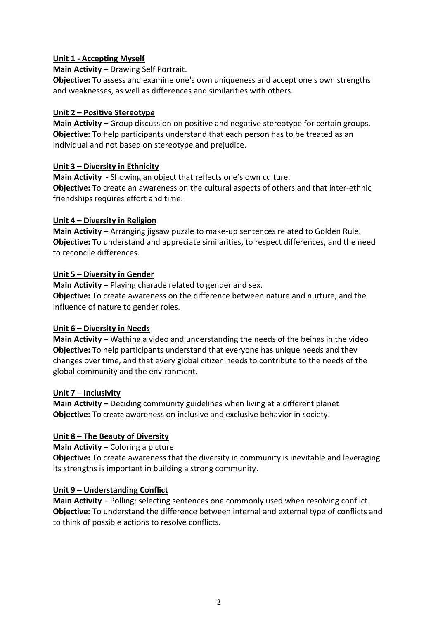## **Unit 1 - Accepting Myself**

**Main Activity –** Drawing Self Portrait.

**Objective:** To assess and examine one's own uniqueness and accept one's own strengths and weaknesses, as well as differences and similarities with others.

### **Unit 2 – Positive Stereotype**

**Main Activity –** Group discussion on positive and negative stereotype for certain groups. **Objective:** To help participants understand that each person has to be treated as an individual and not based on stereotype and prejudice.

## **Unit 3 – Diversity in Ethnicity**

**Main Activity -** Showing an object that reflects one's own culture. **Objective:** To create an awareness on the cultural aspects of others and that inter-ethnic friendships requires effort and time.

## **Unit 4 – Diversity in Religion**

**Main Activity –** Arranging jigsaw puzzle to make-up sentences related to Golden Rule. **Objective:** To understand and appreciate similarities, to respect differences, and the need to reconcile differences.

## **Unit 5 – Diversity in Gender**

**Main Activity –** Playing charade related to gender and sex. **Objective:** To create awareness on the difference between nature and nurture, and the influence of nature to gender roles.

#### **Unit 6 – Diversity in Needs**

**Main Activity –** Wathing a video and understanding the needs of the beings in the video **Objective:** To help participants understand that everyone has unique needs and they changes over time, and that every global citizen needs to contribute to the needs of the global community and the environment.

#### **Unit 7 – Inclusivity**

**Main Activity –** Deciding community guidelines when living at a different planet **Objective:** To create awareness on inclusive and exclusive behavior in society.

# **Unit 8 – The Beauty of Diversity**

**Main Activity –** Coloring a picture

**Objective:** To create awareness that the diversity in community is inevitable and leveraging its strengths is important in building a strong community.

#### **Unit 9 – Understanding Conflict**

**Main Activity –** Polling: selecting sentences one commonly used when resolving conflict. **Objective:** To understand the difference between internal and external type of conflicts and to think of possible actions to resolve conflicts**.**